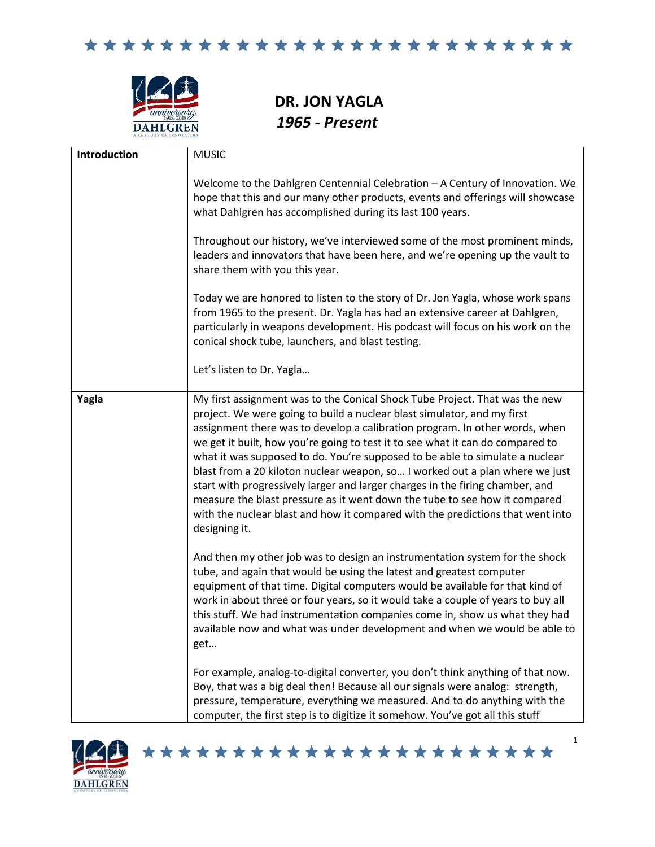

**DR. JON YAGLA** *1965 - Present*

| Introduction | <b>MUSIC</b>                                                                                                                                                                                                                                                                                                                                                                                                                                                                                                                                                                                                                                                                                                                                              |
|--------------|-----------------------------------------------------------------------------------------------------------------------------------------------------------------------------------------------------------------------------------------------------------------------------------------------------------------------------------------------------------------------------------------------------------------------------------------------------------------------------------------------------------------------------------------------------------------------------------------------------------------------------------------------------------------------------------------------------------------------------------------------------------|
|              | Welcome to the Dahlgren Centennial Celebration - A Century of Innovation. We<br>hope that this and our many other products, events and offerings will showcase<br>what Dahlgren has accomplished during its last 100 years.                                                                                                                                                                                                                                                                                                                                                                                                                                                                                                                               |
|              | Throughout our history, we've interviewed some of the most prominent minds,<br>leaders and innovators that have been here, and we're opening up the vault to<br>share them with you this year.                                                                                                                                                                                                                                                                                                                                                                                                                                                                                                                                                            |
|              | Today we are honored to listen to the story of Dr. Jon Yagla, whose work spans<br>from 1965 to the present. Dr. Yagla has had an extensive career at Dahlgren,<br>particularly in weapons development. His podcast will focus on his work on the<br>conical shock tube, launchers, and blast testing.                                                                                                                                                                                                                                                                                                                                                                                                                                                     |
|              | Let's listen to Dr. Yagla                                                                                                                                                                                                                                                                                                                                                                                                                                                                                                                                                                                                                                                                                                                                 |
| Yagla        | My first assignment was to the Conical Shock Tube Project. That was the new<br>project. We were going to build a nuclear blast simulator, and my first<br>assignment there was to develop a calibration program. In other words, when<br>we get it built, how you're going to test it to see what it can do compared to<br>what it was supposed to do. You're supposed to be able to simulate a nuclear<br>blast from a 20 kiloton nuclear weapon, so I worked out a plan where we just<br>start with progressively larger and larger charges in the firing chamber, and<br>measure the blast pressure as it went down the tube to see how it compared<br>with the nuclear blast and how it compared with the predictions that went into<br>designing it. |
|              | And then my other job was to design an instrumentation system for the shock<br>tube, and again that would be using the latest and greatest computer<br>equipment of that time. Digital computers would be available for that kind of<br>work in about three or four years, so it would take a couple of years to buy all<br>this stuff. We had instrumentation companies come in, show us what they had<br>available now and what was under development and when we would be able to<br>get                                                                                                                                                                                                                                                               |
|              | For example, analog-to-digital converter, you don't think anything of that now.<br>Boy, that was a big deal then! Because all our signals were analog: strength,<br>pressure, temperature, everything we measured. And to do anything with the<br>computer, the first step is to digitize it somehow. You've got all this stuff                                                                                                                                                                                                                                                                                                                                                                                                                           |

\*\*\*\*\*\*\*\*\*\*\*\*\*\*\*\*\*\*\*\*\*\*\*

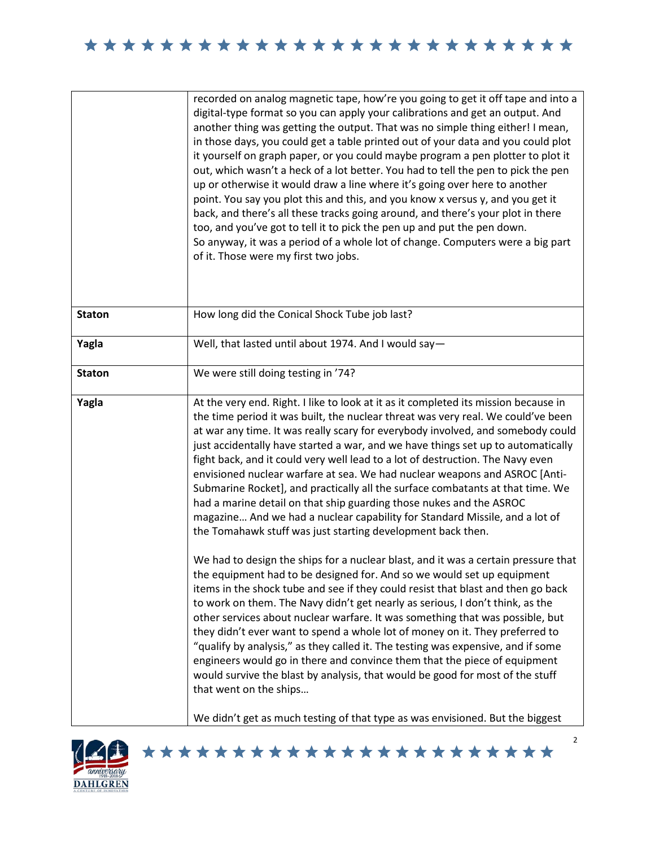|               | recorded on analog magnetic tape, how're you going to get it off tape and into a<br>digital-type format so you can apply your calibrations and get an output. And<br>another thing was getting the output. That was no simple thing either! I mean,<br>in those days, you could get a table printed out of your data and you could plot<br>it yourself on graph paper, or you could maybe program a pen plotter to plot it<br>out, which wasn't a heck of a lot better. You had to tell the pen to pick the pen<br>up or otherwise it would draw a line where it's going over here to another<br>point. You say you plot this and this, and you know x versus y, and you get it<br>back, and there's all these tracks going around, and there's your plot in there<br>too, and you've got to tell it to pick the pen up and put the pen down.<br>So anyway, it was a period of a whole lot of change. Computers were a big part<br>of it. Those were my first two jobs.                                                                                                                                                                                                                                                                                                                                                                                                                                                                                                                                                                                                                                 |
|---------------|---------------------------------------------------------------------------------------------------------------------------------------------------------------------------------------------------------------------------------------------------------------------------------------------------------------------------------------------------------------------------------------------------------------------------------------------------------------------------------------------------------------------------------------------------------------------------------------------------------------------------------------------------------------------------------------------------------------------------------------------------------------------------------------------------------------------------------------------------------------------------------------------------------------------------------------------------------------------------------------------------------------------------------------------------------------------------------------------------------------------------------------------------------------------------------------------------------------------------------------------------------------------------------------------------------------------------------------------------------------------------------------------------------------------------------------------------------------------------------------------------------------------------------------------------------------------------------------------------------|
| <b>Staton</b> | How long did the Conical Shock Tube job last?                                                                                                                                                                                                                                                                                                                                                                                                                                                                                                                                                                                                                                                                                                                                                                                                                                                                                                                                                                                                                                                                                                                                                                                                                                                                                                                                                                                                                                                                                                                                                           |
| Yagla         | Well, that lasted until about 1974. And I would say-                                                                                                                                                                                                                                                                                                                                                                                                                                                                                                                                                                                                                                                                                                                                                                                                                                                                                                                                                                                                                                                                                                                                                                                                                                                                                                                                                                                                                                                                                                                                                    |
| <b>Staton</b> | We were still doing testing in '74?                                                                                                                                                                                                                                                                                                                                                                                                                                                                                                                                                                                                                                                                                                                                                                                                                                                                                                                                                                                                                                                                                                                                                                                                                                                                                                                                                                                                                                                                                                                                                                     |
| Yagla         | At the very end. Right. I like to look at it as it completed its mission because in<br>the time period it was built, the nuclear threat was very real. We could've been<br>at war any time. It was really scary for everybody involved, and somebody could<br>just accidentally have started a war, and we have things set up to automatically<br>fight back, and it could very well lead to a lot of destruction. The Navy even<br>envisioned nuclear warfare at sea. We had nuclear weapons and ASROC [Anti-<br>Submarine Rocket], and practically all the surface combatants at that time. We<br>had a marine detail on that ship guarding those nukes and the ASROC<br>magazine And we had a nuclear capability for Standard Missile, and a lot of<br>the Tomahawk stuff was just starting development back then.<br>We had to design the ships for a nuclear blast, and it was a certain pressure that<br>the equipment had to be designed for. And so we would set up equipment<br>items in the shock tube and see if they could resist that blast and then go back<br>to work on them. The Navy didn't get nearly as serious, I don't think, as the<br>other services about nuclear warfare. It was something that was possible, but<br>they didn't ever want to spend a whole lot of money on it. They preferred to<br>"qualify by analysis," as they called it. The testing was expensive, and if some<br>engineers would go in there and convince them that the piece of equipment<br>would survive the blast by analysis, that would be good for most of the stuff<br>that went on the ships |
|               | We didn't get as much testing of that type as was envisioned. But the biggest                                                                                                                                                                                                                                                                                                                                                                                                                                                                                                                                                                                                                                                                                                                                                                                                                                                                                                                                                                                                                                                                                                                                                                                                                                                                                                                                                                                                                                                                                                                           |



\*\*\*\*\*\*\*\*\*\*\*\*\*\*\*\*\*\*\*\*\*\*\*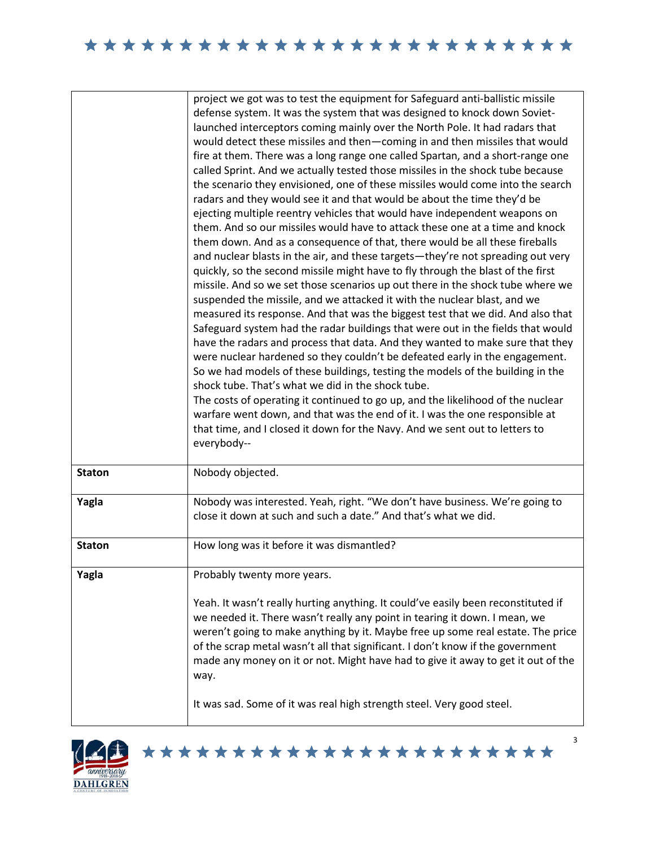|               | project we got was to test the equipment for Safeguard anti-ballistic missile     |
|---------------|-----------------------------------------------------------------------------------|
|               | defense system. It was the system that was designed to knock down Soviet-         |
|               | launched interceptors coming mainly over the North Pole. It had radars that       |
|               | would detect these missiles and then-coming in and then missiles that would       |
|               | fire at them. There was a long range one called Spartan, and a short-range one    |
|               | called Sprint. And we actually tested those missiles in the shock tube because    |
|               | the scenario they envisioned, one of these missiles would come into the search    |
|               | radars and they would see it and that would be about the time they'd be           |
|               | ejecting multiple reentry vehicles that would have independent weapons on         |
|               | them. And so our missiles would have to attack these one at a time and knock      |
|               | them down. And as a consequence of that, there would be all these fireballs       |
|               | and nuclear blasts in the air, and these targets-they're not spreading out very   |
|               | quickly, so the second missile might have to fly through the blast of the first   |
|               | missile. And so we set those scenarios up out there in the shock tube where we    |
|               | suspended the missile, and we attacked it with the nuclear blast, and we          |
|               | measured its response. And that was the biggest test that we did. And also that   |
|               | Safeguard system had the radar buildings that were out in the fields that would   |
|               | have the radars and process that data. And they wanted to make sure that they     |
|               | were nuclear hardened so they couldn't be defeated early in the engagement.       |
|               | So we had models of these buildings, testing the models of the building in the    |
|               | shock tube. That's what we did in the shock tube.                                 |
|               | The costs of operating it continued to go up, and the likelihood of the nuclear   |
|               | warfare went down, and that was the end of it. I was the one responsible at       |
|               | that time, and I closed it down for the Navy. And we sent out to letters to       |
|               | everybody--                                                                       |
|               |                                                                                   |
| <b>Staton</b> | Nobody objected.                                                                  |
| Yagla         | Nobody was interested. Yeah, right. "We don't have business. We're going to       |
|               | close it down at such and such a date." And that's what we did.                   |
|               |                                                                                   |
| <b>Staton</b> | How long was it before it was dismantled?                                         |
|               |                                                                                   |
| Yagla         | Probably twenty more years.                                                       |
|               | Yeah. It wasn't really hurting anything. It could've easily been reconstituted if |
|               | we needed it. There wasn't really any point in tearing it down. I mean, we        |
|               | weren't going to make anything by it. Maybe free up some real estate. The price   |
|               | of the scrap metal wasn't all that significant. I don't know if the government    |
|               | made any money on it or not. Might have had to give it away to get it out of the  |
|               | way.                                                                              |
|               |                                                                                   |
|               | It was sad. Some of it was real high strength steel. Very good steel.             |
|               |                                                                                   |



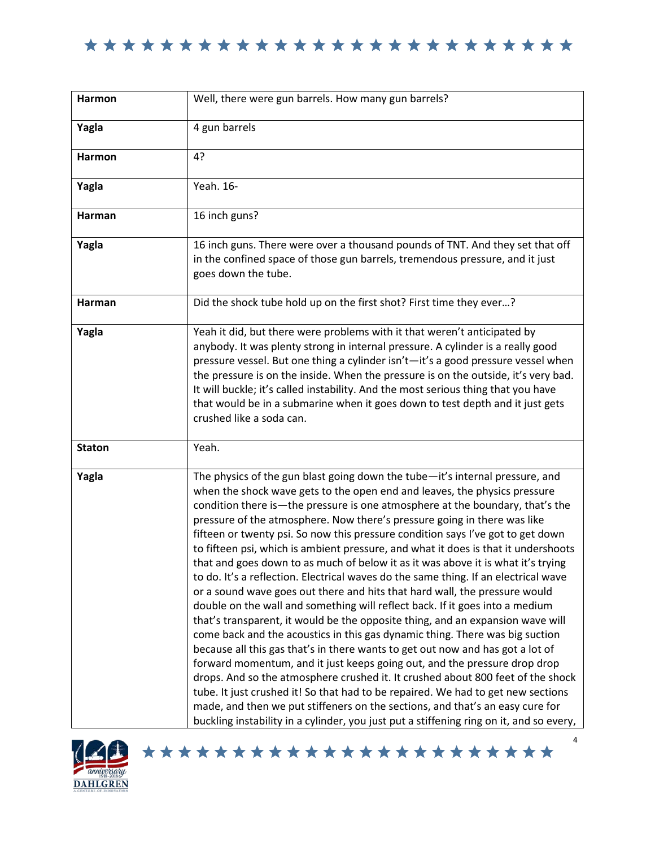

| Harmon        | Well, there were gun barrels. How many gun barrels?                                                                                                                                                                                                                                                                                                                                                                                                                                                                                                                                                                                                                                                                                                                                                                                                                                                                                                                                                                                                                                                                                                                                                                                                                                                                                                                                                                                                                                                                          |
|---------------|------------------------------------------------------------------------------------------------------------------------------------------------------------------------------------------------------------------------------------------------------------------------------------------------------------------------------------------------------------------------------------------------------------------------------------------------------------------------------------------------------------------------------------------------------------------------------------------------------------------------------------------------------------------------------------------------------------------------------------------------------------------------------------------------------------------------------------------------------------------------------------------------------------------------------------------------------------------------------------------------------------------------------------------------------------------------------------------------------------------------------------------------------------------------------------------------------------------------------------------------------------------------------------------------------------------------------------------------------------------------------------------------------------------------------------------------------------------------------------------------------------------------------|
|               |                                                                                                                                                                                                                                                                                                                                                                                                                                                                                                                                                                                                                                                                                                                                                                                                                                                                                                                                                                                                                                                                                                                                                                                                                                                                                                                                                                                                                                                                                                                              |
| Yagla         | 4 gun barrels                                                                                                                                                                                                                                                                                                                                                                                                                                                                                                                                                                                                                                                                                                                                                                                                                                                                                                                                                                                                                                                                                                                                                                                                                                                                                                                                                                                                                                                                                                                |
| <b>Harmon</b> | 4?                                                                                                                                                                                                                                                                                                                                                                                                                                                                                                                                                                                                                                                                                                                                                                                                                                                                                                                                                                                                                                                                                                                                                                                                                                                                                                                                                                                                                                                                                                                           |
| Yagla         | Yeah. 16-                                                                                                                                                                                                                                                                                                                                                                                                                                                                                                                                                                                                                                                                                                                                                                                                                                                                                                                                                                                                                                                                                                                                                                                                                                                                                                                                                                                                                                                                                                                    |
| Harman        | 16 inch guns?                                                                                                                                                                                                                                                                                                                                                                                                                                                                                                                                                                                                                                                                                                                                                                                                                                                                                                                                                                                                                                                                                                                                                                                                                                                                                                                                                                                                                                                                                                                |
| Yagla         | 16 inch guns. There were over a thousand pounds of TNT. And they set that off<br>in the confined space of those gun barrels, tremendous pressure, and it just<br>goes down the tube.                                                                                                                                                                                                                                                                                                                                                                                                                                                                                                                                                                                                                                                                                                                                                                                                                                                                                                                                                                                                                                                                                                                                                                                                                                                                                                                                         |
| Harman        | Did the shock tube hold up on the first shot? First time they ever?                                                                                                                                                                                                                                                                                                                                                                                                                                                                                                                                                                                                                                                                                                                                                                                                                                                                                                                                                                                                                                                                                                                                                                                                                                                                                                                                                                                                                                                          |
| Yagla         | Yeah it did, but there were problems with it that weren't anticipated by<br>anybody. It was plenty strong in internal pressure. A cylinder is a really good<br>pressure vessel. But one thing a cylinder isn't-it's a good pressure vessel when<br>the pressure is on the inside. When the pressure is on the outside, it's very bad.<br>It will buckle; it's called instability. And the most serious thing that you have<br>that would be in a submarine when it goes down to test depth and it just gets<br>crushed like a soda can.                                                                                                                                                                                                                                                                                                                                                                                                                                                                                                                                                                                                                                                                                                                                                                                                                                                                                                                                                                                      |
| <b>Staton</b> | Yeah.                                                                                                                                                                                                                                                                                                                                                                                                                                                                                                                                                                                                                                                                                                                                                                                                                                                                                                                                                                                                                                                                                                                                                                                                                                                                                                                                                                                                                                                                                                                        |
| Yagla         | The physics of the gun blast going down the tube-it's internal pressure, and<br>when the shock wave gets to the open end and leaves, the physics pressure<br>condition there is—the pressure is one atmosphere at the boundary, that's the<br>pressure of the atmosphere. Now there's pressure going in there was like<br>fifteen or twenty psi. So now this pressure condition says I've got to get down<br>to fifteen psi, which is ambient pressure, and what it does is that it undershoots<br>that and goes down to as much of below it as it was above it is what it's trying<br>to do. It's a reflection. Electrical waves do the same thing. If an electrical wave<br>or a sound wave goes out there and hits that hard wall, the pressure would<br>double on the wall and something will reflect back. If it goes into a medium<br>that's transparent, it would be the opposite thing, and an expansion wave will<br>come back and the acoustics in this gas dynamic thing. There was big suction<br>because all this gas that's in there wants to get out now and has got a lot of<br>forward momentum, and it just keeps going out, and the pressure drop drop<br>drops. And so the atmosphere crushed it. It crushed about 800 feet of the shock<br>tube. It just crushed it! So that had to be repaired. We had to get new sections<br>made, and then we put stiffeners on the sections, and that's an easy cure for<br>buckling instability in a cylinder, you just put a stiffening ring on it, and so every, |

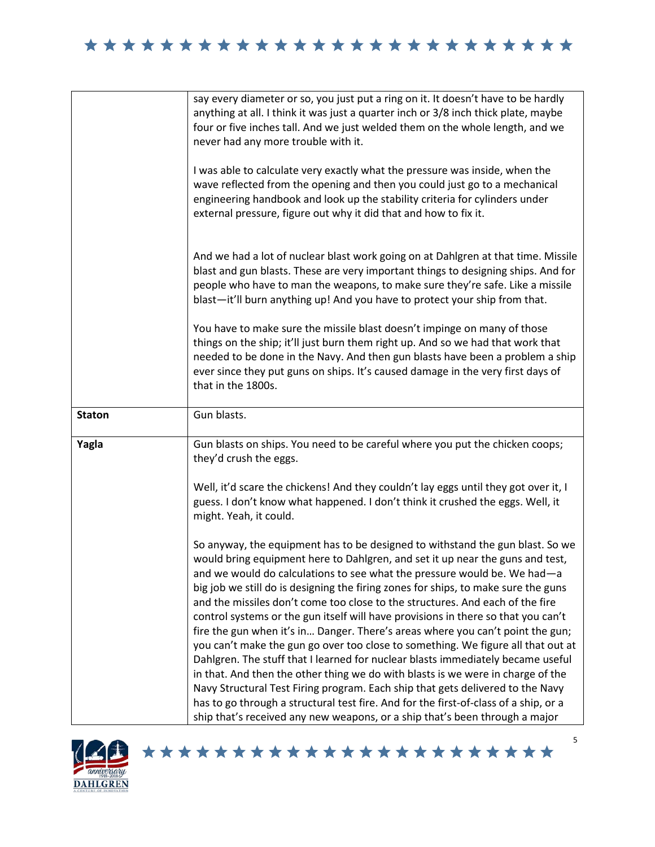|               | say every diameter or so, you just put a ring on it. It doesn't have to be hardly<br>anything at all. I think it was just a quarter inch or 3/8 inch thick plate, maybe<br>four or five inches tall. And we just welded them on the whole length, and we<br>never had any more trouble with it.<br>I was able to calculate very exactly what the pressure was inside, when the<br>wave reflected from the opening and then you could just go to a mechanical |
|---------------|--------------------------------------------------------------------------------------------------------------------------------------------------------------------------------------------------------------------------------------------------------------------------------------------------------------------------------------------------------------------------------------------------------------------------------------------------------------|
|               | engineering handbook and look up the stability criteria for cylinders under<br>external pressure, figure out why it did that and how to fix it.                                                                                                                                                                                                                                                                                                              |
|               | And we had a lot of nuclear blast work going on at Dahlgren at that time. Missile<br>blast and gun blasts. These are very important things to designing ships. And for<br>people who have to man the weapons, to make sure they're safe. Like a missile<br>blast-it'll burn anything up! And you have to protect your ship from that.                                                                                                                        |
|               | You have to make sure the missile blast doesn't impinge on many of those<br>things on the ship; it'll just burn them right up. And so we had that work that<br>needed to be done in the Navy. And then gun blasts have been a problem a ship<br>ever since they put guns on ships. It's caused damage in the very first days of<br>that in the 1800s.                                                                                                        |
| <b>Staton</b> | Gun blasts.                                                                                                                                                                                                                                                                                                                                                                                                                                                  |
|               |                                                                                                                                                                                                                                                                                                                                                                                                                                                              |
| Yagla         | Gun blasts on ships. You need to be careful where you put the chicken coops;<br>they'd crush the eggs.                                                                                                                                                                                                                                                                                                                                                       |
|               | Well, it'd scare the chickens! And they couldn't lay eggs until they got over it, I<br>guess. I don't know what happened. I don't think it crushed the eggs. Well, it<br>might. Yeah, it could.                                                                                                                                                                                                                                                              |
|               | So anyway, the equipment has to be designed to withstand the gun blast. So we<br>would bring equipment here to Dahlgren, and set it up near the guns and test,<br>and we would do calculations to see what the pressure would be. We had—a<br>big job we still do is designing the firing zones for ships, to make sure the guns                                                                                                                             |
|               | and the missiles don't come too close to the structures. And each of the fire<br>control systems or the gun itself will have provisions in there so that you can't                                                                                                                                                                                                                                                                                           |
|               | fire the gun when it's in Danger. There's areas where you can't point the gun;<br>you can't make the gun go over too close to something. We figure all that out at                                                                                                                                                                                                                                                                                           |
|               | Dahlgren. The stuff that I learned for nuclear blasts immediately became useful                                                                                                                                                                                                                                                                                                                                                                              |
|               | in that. And then the other thing we do with blasts is we were in charge of the<br>Navy Structural Test Firing program. Each ship that gets delivered to the Navy<br>has to go through a structural test fire. And for the first-of-class of a ship, or a                                                                                                                                                                                                    |



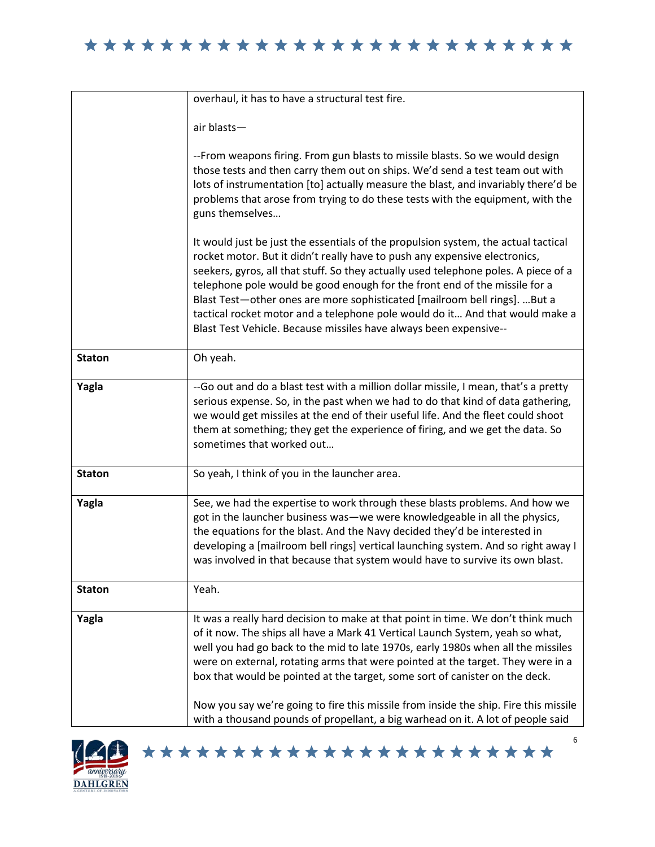|               | overhaul, it has to have a structural test fire.                                                                                                                                                                                                                                                                                                                                                                                                                                                                                                                                                   |
|---------------|----------------------------------------------------------------------------------------------------------------------------------------------------------------------------------------------------------------------------------------------------------------------------------------------------------------------------------------------------------------------------------------------------------------------------------------------------------------------------------------------------------------------------------------------------------------------------------------------------|
|               | air blasts-                                                                                                                                                                                                                                                                                                                                                                                                                                                                                                                                                                                        |
|               | --From weapons firing. From gun blasts to missile blasts. So we would design<br>those tests and then carry them out on ships. We'd send a test team out with<br>lots of instrumentation [to] actually measure the blast, and invariably there'd be<br>problems that arose from trying to do these tests with the equipment, with the<br>guns themselves                                                                                                                                                                                                                                            |
|               | It would just be just the essentials of the propulsion system, the actual tactical<br>rocket motor. But it didn't really have to push any expensive electronics,<br>seekers, gyros, all that stuff. So they actually used telephone poles. A piece of a<br>telephone pole would be good enough for the front end of the missile for a<br>Blast Test-other ones are more sophisticated [mailroom bell rings]. But a<br>tactical rocket motor and a telephone pole would do it And that would make a<br>Blast Test Vehicle. Because missiles have always been expensive--                            |
| <b>Staton</b> | Oh yeah.                                                                                                                                                                                                                                                                                                                                                                                                                                                                                                                                                                                           |
| Yagla         | -- Go out and do a blast test with a million dollar missile, I mean, that's a pretty<br>serious expense. So, in the past when we had to do that kind of data gathering,<br>we would get missiles at the end of their useful life. And the fleet could shoot<br>them at something; they get the experience of firing, and we get the data. So<br>sometimes that worked out                                                                                                                                                                                                                          |
| <b>Staton</b> | So yeah, I think of you in the launcher area.                                                                                                                                                                                                                                                                                                                                                                                                                                                                                                                                                      |
| Yagla         | See, we had the expertise to work through these blasts problems. And how we<br>got in the launcher business was—we were knowledgeable in all the physics,<br>the equations for the blast. And the Navy decided they'd be interested in<br>developing a [mailroom bell rings] vertical launching system. And so right away I<br>was involved in that because that system would have to survive its own blast.                                                                                                                                                                                       |
| <b>Staton</b> | Yeah.                                                                                                                                                                                                                                                                                                                                                                                                                                                                                                                                                                                              |
| Yagla         | It was a really hard decision to make at that point in time. We don't think much<br>of it now. The ships all have a Mark 41 Vertical Launch System, yeah so what,<br>well you had go back to the mid to late 1970s, early 1980s when all the missiles<br>were on external, rotating arms that were pointed at the target. They were in a<br>box that would be pointed at the target, some sort of canister on the deck.<br>Now you say we're going to fire this missile from inside the ship. Fire this missile<br>with a thousand pounds of propellant, a big warhead on it. A lot of people said |



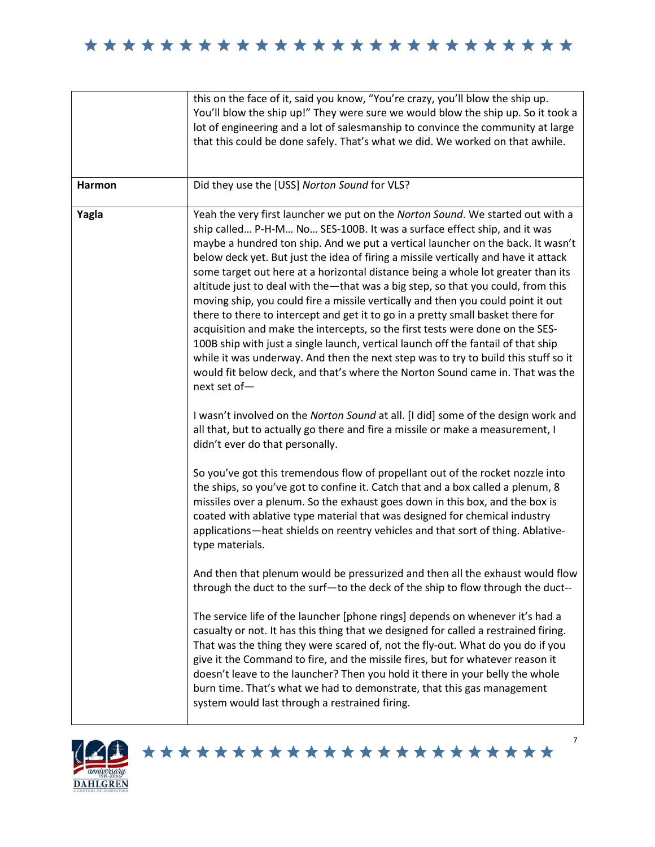| Harmon | this on the face of it, said you know, "You're crazy, you'll blow the ship up.<br>You'll blow the ship up!" They were sure we would blow the ship up. So it took a<br>lot of engineering and a lot of salesmanship to convince the community at large<br>that this could be done safely. That's what we did. We worked on that awhile.<br>Did they use the [USS] Norton Sound for VLS?                                                                                                                                                                                                                                                                                                                                                                                                                                                                                                                                                                                                                                                          |
|--------|-------------------------------------------------------------------------------------------------------------------------------------------------------------------------------------------------------------------------------------------------------------------------------------------------------------------------------------------------------------------------------------------------------------------------------------------------------------------------------------------------------------------------------------------------------------------------------------------------------------------------------------------------------------------------------------------------------------------------------------------------------------------------------------------------------------------------------------------------------------------------------------------------------------------------------------------------------------------------------------------------------------------------------------------------|
|        |                                                                                                                                                                                                                                                                                                                                                                                                                                                                                                                                                                                                                                                                                                                                                                                                                                                                                                                                                                                                                                                 |
| Yagla  | Yeah the very first launcher we put on the Norton Sound. We started out with a<br>ship called P-H-M No SES-100B. It was a surface effect ship, and it was<br>maybe a hundred ton ship. And we put a vertical launcher on the back. It wasn't<br>below deck yet. But just the idea of firing a missile vertically and have it attack<br>some target out here at a horizontal distance being a whole lot greater than its<br>altitude just to deal with the-that was a big step, so that you could, from this<br>moving ship, you could fire a missile vertically and then you could point it out<br>there to there to intercept and get it to go in a pretty small basket there for<br>acquisition and make the intercepts, so the first tests were done on the SES-<br>100B ship with just a single launch, vertical launch off the fantail of that ship<br>while it was underway. And then the next step was to try to build this stuff so it<br>would fit below deck, and that's where the Norton Sound came in. That was the<br>next set of- |
|        | I wasn't involved on the Norton Sound at all. [I did] some of the design work and<br>all that, but to actually go there and fire a missile or make a measurement, I<br>didn't ever do that personally.                                                                                                                                                                                                                                                                                                                                                                                                                                                                                                                                                                                                                                                                                                                                                                                                                                          |
|        | So you've got this tremendous flow of propellant out of the rocket nozzle into<br>the ships, so you've got to confine it. Catch that and a box called a plenum, 8<br>missiles over a plenum. So the exhaust goes down in this box, and the box is<br>coated with ablative type material that was designed for chemical industry<br>applications-heat shields on reentry vehicles and that sort of thing. Ablative-<br>type materials.                                                                                                                                                                                                                                                                                                                                                                                                                                                                                                                                                                                                           |
|        | And then that plenum would be pressurized and then all the exhaust would flow<br>through the duct to the surf-to the deck of the ship to flow through the duct--                                                                                                                                                                                                                                                                                                                                                                                                                                                                                                                                                                                                                                                                                                                                                                                                                                                                                |
|        | The service life of the launcher [phone rings] depends on whenever it's had a<br>casualty or not. It has this thing that we designed for called a restrained firing.<br>That was the thing they were scared of, not the fly-out. What do you do if you<br>give it the Command to fire, and the missile fires, but for whatever reason it<br>doesn't leave to the launcher? Then you hold it there in your belly the whole<br>burn time. That's what we had to demonstrate, that this gas management<br>system would last through a restrained firing.                                                                                                                                                                                                                                                                                                                                                                                                                                                                                           |



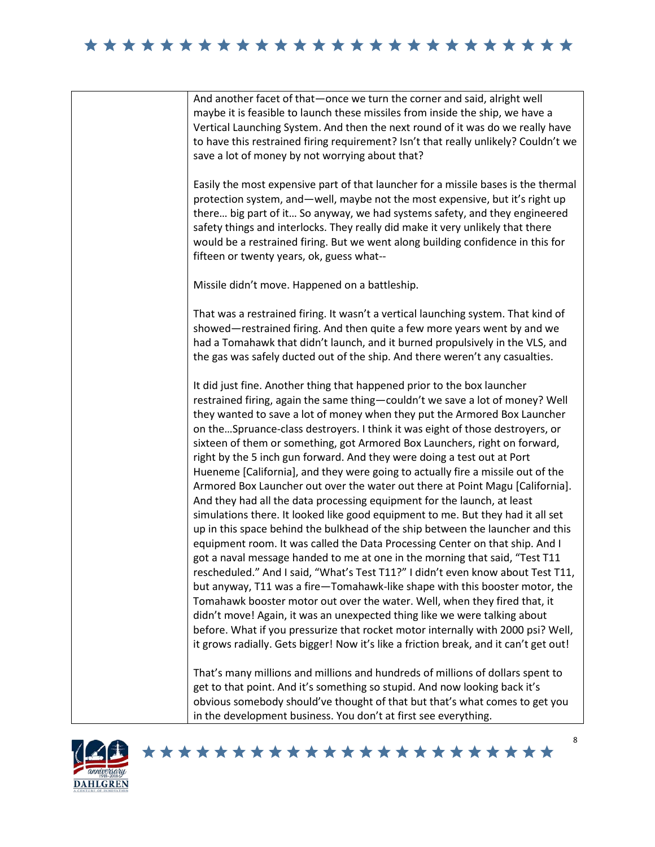



## \*\*\*\*\*\*\*\*\*\*\*\*\*\*\*\*\*\*\*\*\*\*\*